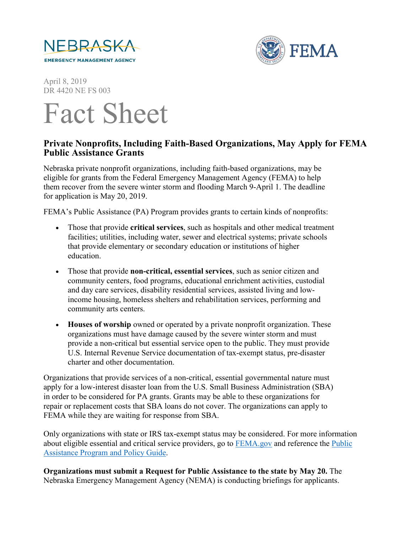



April 8, 2019 DR 4420 NE FS 003

## Fact Sheet

## **Private Nonprofits, Including Faith-Based Organizations, May Apply for FEMA Public Assistance Grants**

Nebraska private nonprofit organizations, including faith-based organizations, may be eligible for grants from the Federal Emergency Management Agency (FEMA) to help them recover from the severe winter storm and flooding March 9-April 1. The deadline for application is May 20, 2019.

FEMA's Public Assistance (PA) Program provides grants to certain kinds of nonprofits:

- Those that provide **critical services**, such as hospitals and other medical treatment facilities; utilities, including water, sewer and electrical systems; private schools that provide elementary or secondary education or institutions of higher education.
- Those that provide **non-critical, essential services**, such as senior citizen and community centers, food programs, educational enrichment activities, custodial and day care services, disability residential services, assisted living and lowincome housing, homeless shelters and rehabilitation services, performing and community arts centers.
- **Houses of worship** owned or operated by a private nonprofit organization. These organizations must have damage caused by the severe winter storm and must provide a non-critical but essential service open to the public. They must provide U.S. Internal Revenue Service documentation of tax-exempt status, pre-disaster charter and other documentation.

Organizations that provide services of a non-critical, essential governmental nature must apply for a low-interest disaster loan from the U.S. Small Business Administration (SBA) in order to be considered for PA grants. Grants may be able to these organizations for repair or replacement costs that SBA loans do not cover. The organizations can apply to FEMA while they are waiting for response from SBA.

Only organizations with state or IRS tax-exempt status may be considered. For more information about eligible essential and critical service providers, go to **FEMA**.gov and reference the *Public* [Assistance Program and Policy Guide.](https://www.fema.gov/public-assistance-policy-and-guidance)

**Organizations must submit a Request for Public Assistance to the state by May 20.** The Nebraska Emergency Management Agency (NEMA) is conducting briefings for applicants.